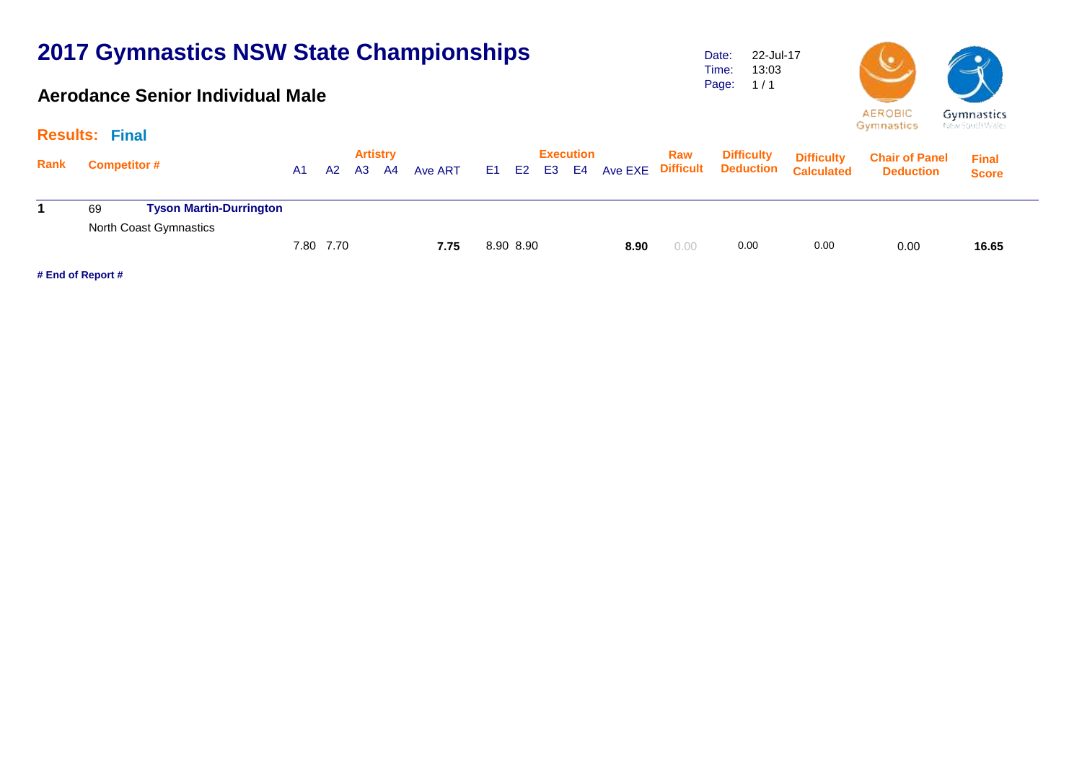### **Aerodance Senior Individual Male**

Date: Time: Page: 22-Jul-17 13:03  $1/1$ 



Gymnastics

Gymnastics New South Wales

|      | the first parties are able to<br><b>Results: Final</b> |                                |    |           |    |                       |         |  |           |    |                        |         |                         |                   |                                                  |                                           |                              |  |
|------|--------------------------------------------------------|--------------------------------|----|-----------|----|-----------------------|---------|--|-----------|----|------------------------|---------|-------------------------|-------------------|--------------------------------------------------|-------------------------------------------|------------------------------|--|
| Rank | <b>Competitor #</b>                                    |                                | A1 | A2        | A3 | <b>Artistry</b><br>A4 | Ave ART |  | E1 E2     | E3 | <b>Execution</b><br>E4 | Ave EXE | Raw<br><b>Difficult</b> | <b>Difficulty</b> | <b>Difficulty</b><br><b>Deduction Calculated</b> | <b>Chair of Panel</b><br><b>Deduction</b> | <b>Final</b><br><b>Score</b> |  |
|      | 69                                                     | <b>Tyson Martin-Durrington</b> |    |           |    |                       |         |  |           |    |                        |         |                         |                   |                                                  |                                           |                              |  |
|      |                                                        | North Coast Gymnastics         |    |           |    |                       |         |  |           |    |                        |         |                         |                   |                                                  |                                           |                              |  |
|      |                                                        |                                |    | 7.80 7.70 |    |                       | 7.75    |  | 8.90 8.90 |    |                        | 8.90    | 0.00                    | 0.00              | 0.00                                             | 0.00                                      | 16.65                        |  |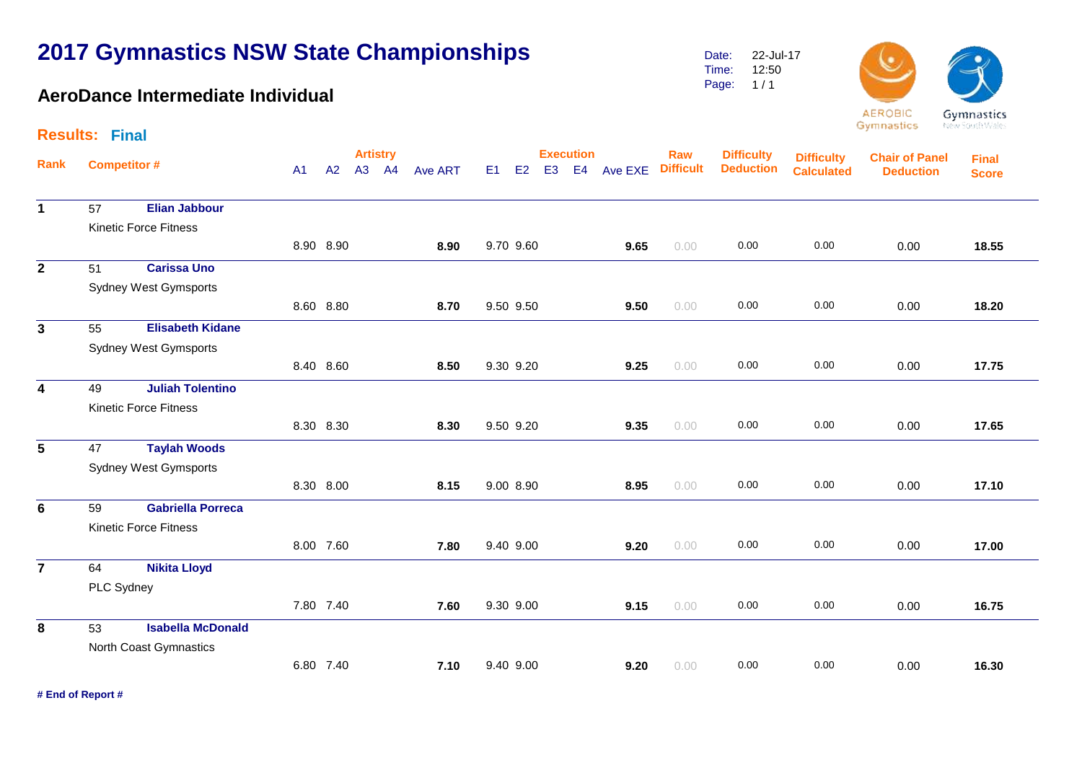### **AeroDance Intermediate Individual**

Date: Time: Page: 1 / 1 22-Jul-17 12:50





Gymnastics

|                         | <b>Results: Final</b> |                              |                |           |                 |  |                |    |           |                |                  |            |                  |                   |                   |                       |              |  |  |
|-------------------------|-----------------------|------------------------------|----------------|-----------|-----------------|--|----------------|----|-----------|----------------|------------------|------------|------------------|-------------------|-------------------|-----------------------|--------------|--|--|
| Rank                    |                       | <b>Competitor#</b>           |                |           | <b>Artistry</b> |  |                |    |           |                | <b>Execution</b> |            | Raw              | <b>Difficulty</b> | <b>Difficulty</b> | <b>Chair of Panel</b> | <b>Final</b> |  |  |
|                         |                       |                              | A <sub>1</sub> | A2        | A3 A4           |  | <b>Ave ART</b> | E1 | E2        | E <sub>3</sub> |                  | E4 Ave EXE | <b>Difficult</b> | <b>Deduction</b>  | <b>Calculated</b> | <b>Deduction</b>      | <b>Score</b> |  |  |
| $\mathbf 1$             | 57                    | <b>Elian Jabbour</b>         |                |           |                 |  |                |    |           |                |                  |            |                  |                   |                   |                       |              |  |  |
|                         |                       | <b>Kinetic Force Fitness</b> |                |           |                 |  |                |    |           |                |                  |            |                  |                   |                   |                       |              |  |  |
|                         |                       |                              |                | 8.90 8.90 |                 |  | 8.90           |    | 9.70 9.60 |                |                  | 9.65       | 0.00             | 0.00              | 0.00              | 0.00                  | 18.55        |  |  |
| $\overline{2}$          | 51                    | <b>Carissa Uno</b>           |                |           |                 |  |                |    |           |                |                  |            |                  |                   |                   |                       |              |  |  |
|                         |                       | <b>Sydney West Gymsports</b> |                |           |                 |  |                |    |           |                |                  |            |                  |                   |                   |                       |              |  |  |
|                         |                       |                              |                | 8.60 8.80 |                 |  | 8.70           |    | 9.50 9.50 |                |                  | 9.50       | 0.00             | 0.00              | 0.00              | 0.00                  | 18.20        |  |  |
| $\mathbf{3}$            | 55                    | <b>Elisabeth Kidane</b>      |                |           |                 |  |                |    |           |                |                  |            |                  |                   |                   |                       |              |  |  |
|                         |                       | <b>Sydney West Gymsports</b> |                |           |                 |  |                |    |           |                |                  |            |                  |                   |                   |                       |              |  |  |
|                         |                       |                              |                | 8.40 8.60 |                 |  | 8.50           |    | 9.30 9.20 |                |                  | 9.25       | 0.00             | 0.00              | 0.00              | 0.00                  | 17.75        |  |  |
| $\overline{\mathbf{4}}$ | 49                    | <b>Juliah Tolentino</b>      |                |           |                 |  |                |    |           |                |                  |            |                  |                   |                   |                       |              |  |  |
|                         |                       | <b>Kinetic Force Fitness</b> |                |           |                 |  |                |    |           |                |                  |            |                  |                   |                   |                       |              |  |  |
|                         |                       |                              |                | 8.30 8.30 |                 |  | 8.30           |    | 9.50 9.20 |                |                  | 9.35       | 0.00             | 0.00              | 0.00              | 0.00                  | 17.65        |  |  |
| 5                       | 47                    | <b>Taylah Woods</b>          |                |           |                 |  |                |    |           |                |                  |            |                  |                   |                   |                       |              |  |  |
|                         |                       | <b>Sydney West Gymsports</b> |                |           |                 |  |                |    |           |                |                  |            |                  |                   |                   |                       |              |  |  |
|                         |                       |                              |                | 8.30 8.00 |                 |  | 8.15           |    | 9.00 8.90 |                |                  | 8.95       | 0.00             | 0.00              | 0.00              | 0.00                  | 17.10        |  |  |
| 6                       | 59                    | <b>Gabriella Porreca</b>     |                |           |                 |  |                |    |           |                |                  |            |                  |                   |                   |                       |              |  |  |
|                         |                       | <b>Kinetic Force Fitness</b> |                |           |                 |  |                |    |           |                |                  |            |                  |                   |                   |                       |              |  |  |
|                         |                       |                              |                | 8.00 7.60 |                 |  | 7.80           |    | 9.40 9.00 |                |                  | 9.20       | 0.00             | 0.00              | 0.00              | 0.00                  | 17.00        |  |  |
| $\overline{7}$          | 64                    | <b>Nikita Lloyd</b>          |                |           |                 |  |                |    |           |                |                  |            |                  |                   |                   |                       |              |  |  |
|                         | PLC Sydney            |                              |                |           |                 |  |                |    |           |                |                  |            |                  |                   |                   |                       |              |  |  |
|                         |                       |                              |                | 7.80 7.40 |                 |  | 7.60           |    | 9.30 9.00 |                |                  | 9.15       | 0.00             | 0.00              | 0.00              | 0.00                  | 16.75        |  |  |
| 8                       | 53                    | <b>Isabella McDonald</b>     |                |           |                 |  |                |    |           |                |                  |            |                  |                   |                   |                       |              |  |  |
|                         |                       | North Coast Gymnastics       |                |           |                 |  |                |    |           |                |                  |            |                  |                   |                   |                       |              |  |  |
|                         |                       |                              |                | 6.80 7.40 |                 |  | 7.10           |    | 9.40 9.00 |                |                  | 9.20       | 0.00             | 0.00              | 0.00              | 0.00                  | 16.30        |  |  |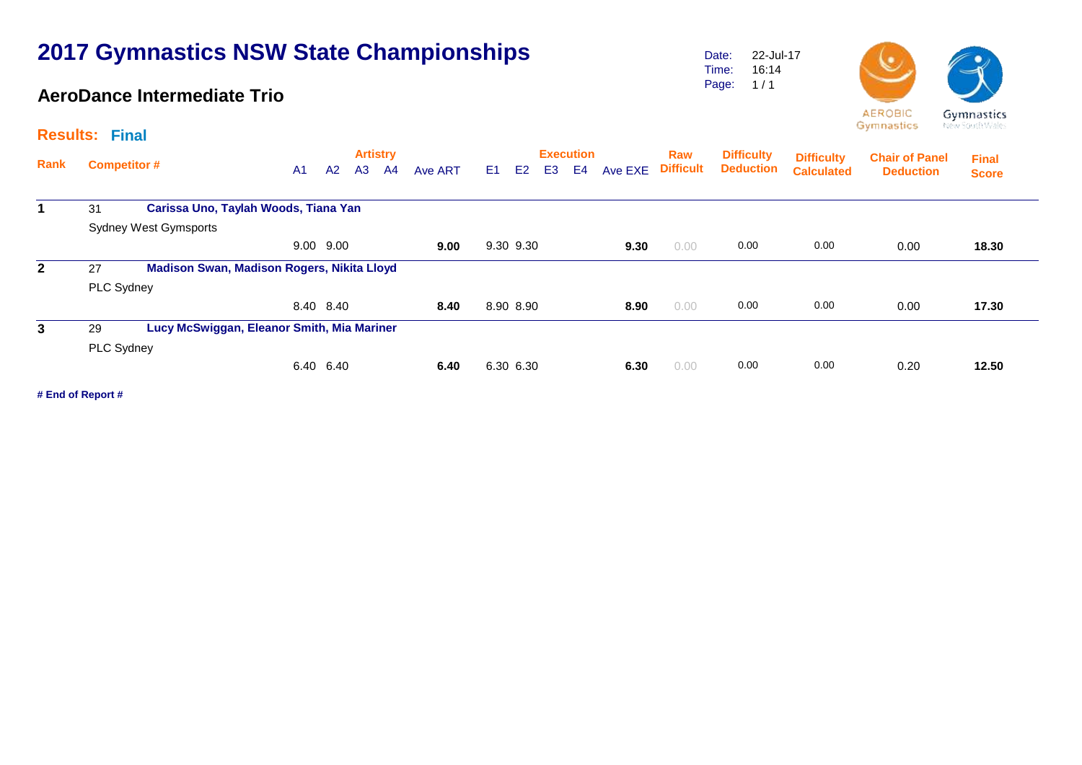### **AeroDance Intermediate Trio**

Date: Time: Page: 1 / 1 22-Jul-17 16:14



Gymnastics New South Wales

| <b>Results: Final</b> |                                            |                                            |                |           |    |                       |                |                |                |                |                        |         |                         |                                       |                                        |                                           |                              |  |
|-----------------------|--------------------------------------------|--------------------------------------------|----------------|-----------|----|-----------------------|----------------|----------------|----------------|----------------|------------------------|---------|-------------------------|---------------------------------------|----------------------------------------|-------------------------------------------|------------------------------|--|
| Rank                  | <b>Competitor #</b>                        |                                            | A <sub>1</sub> | A2        | A3 | <b>Artistry</b><br>A4 | <b>Ave ART</b> | E <sub>1</sub> | E <sub>2</sub> | E <sub>3</sub> | <b>Execution</b><br>E4 | Ave EXE | Raw<br><b>Difficult</b> | <b>Difficulty</b><br><b>Deduction</b> | <b>Difficulty</b><br><b>Calculated</b> | <b>Chair of Panel</b><br><b>Deduction</b> | <b>Final</b><br><b>Score</b> |  |
| 1                     | Carissa Uno, Taylah Woods, Tiana Yan<br>31 |                                            |                |           |    |                       |                |                |                |                |                        |         |                         |                                       |                                        |                                           |                              |  |
|                       |                                            | <b>Sydney West Gymsports</b>               |                |           |    |                       |                |                |                |                |                        |         |                         |                                       |                                        |                                           |                              |  |
|                       |                                            |                                            |                | 9.00 9.00 |    |                       | 9.00           |                | 9.30 9.30      |                |                        | 9.30    | 0.00                    | 0.00                                  | 0.00                                   | 0.00                                      | 18.30                        |  |
| $\mathbf{2}$          | 27                                         | Madison Swan, Madison Rogers, Nikita Lloyd |                |           |    |                       |                |                |                |                |                        |         |                         |                                       |                                        |                                           |                              |  |
|                       | PLC Sydney                                 |                                            |                |           |    |                       |                |                |                |                |                        |         |                         |                                       |                                        |                                           |                              |  |
|                       |                                            |                                            |                | 8.40 8.40 |    |                       | 8.40           |                | 8.90 8.90      |                |                        | 8.90    | 0.00                    | 0.00                                  | 0.00                                   | 0.00                                      | 17.30                        |  |
| 3                     | 29                                         | Lucy McSwiggan, Eleanor Smith, Mia Mariner |                |           |    |                       |                |                |                |                |                        |         |                         |                                       |                                        |                                           |                              |  |
|                       | PLC Sydney                                 |                                            |                |           |    |                       |                |                |                |                |                        |         |                         |                                       |                                        |                                           |                              |  |
|                       |                                            |                                            |                | 6.40 6.40 |    |                       | 6.40           |                | 6.30 6.30      |                |                        | 6.30    | 0.00                    | 0.00                                  | 0.00                                   | 0.20                                      | 12.50                        |  |
|                       |                                            |                                            |                |           |    |                       |                |                |                |                |                        |         |                         |                                       |                                        |                                           |                              |  |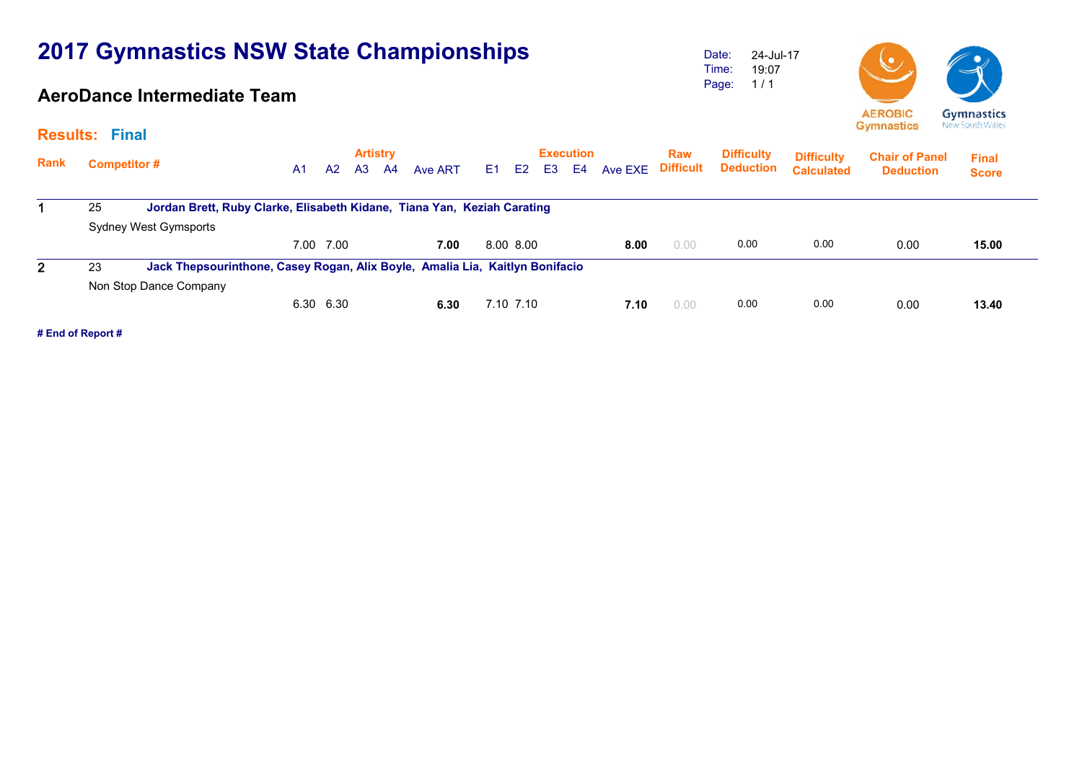### **AeroDance Intermediate Team**

Date: Time: Page: 24-Jul-17 19:07 1 / 1





| <b>Results:</b> | <b>Final</b>                                                                  |                                                                              |                |      |                             |         |      |                |                |                                    |         |                                |                                       |                                        | - ,                                       |                              |  |
|-----------------|-------------------------------------------------------------------------------|------------------------------------------------------------------------------|----------------|------|-----------------------------|---------|------|----------------|----------------|------------------------------------|---------|--------------------------------|---------------------------------------|----------------------------------------|-------------------------------------------|------------------------------|--|
| <b>Rank</b>     | <b>Competitor#</b>                                                            |                                                                              | A <sub>1</sub> | A2   | <b>Artistry</b><br>A3<br>A4 | Ave ART | E1 = | E <sub>2</sub> | E <sub>3</sub> | <b>Execution</b><br>E <sub>4</sub> | Ave EXE | <b>Raw</b><br><b>Difficult</b> | <b>Difficulty</b><br><b>Deduction</b> | <b>Difficulty</b><br><b>Calculated</b> | <b>Chair of Panel</b><br><b>Deduction</b> | <b>Final</b><br><b>Score</b> |  |
|                 | Jordan Brett, Ruby Clarke, Elisabeth Kidane, Tiana Yan, Keziah Carating<br>25 |                                                                              |                |      |                             |         |      |                |                |                                    |         |                                |                                       |                                        |                                           |                              |  |
|                 |                                                                               | Sydney West Gymsports                                                        |                |      |                             |         |      |                |                |                                    |         |                                |                                       |                                        |                                           |                              |  |
|                 |                                                                               |                                                                              | 7.00           | 7.00 |                             | 7.00    |      | 8.00 8.00      |                |                                    | 8.00    | 0.00                           | 0.00                                  | 0.00                                   | 0.00                                      | 15.00                        |  |
|                 | 23                                                                            | Jack Thepsourinthone, Casey Rogan, Alix Boyle, Amalia Lia, Kaitlyn Bonifacio |                |      |                             |         |      |                |                |                                    |         |                                |                                       |                                        |                                           |                              |  |
|                 |                                                                               | Non Stop Dance Company                                                       |                |      |                             |         |      |                |                |                                    |         |                                |                                       |                                        |                                           |                              |  |
|                 |                                                                               |                                                                              | 6.30           | 6.30 |                             | 6.30    |      | 7.10 7.10      |                |                                    | 7.10    | 0.00                           | 0.00                                  | 0.00                                   | 0.00                                      | 13.40                        |  |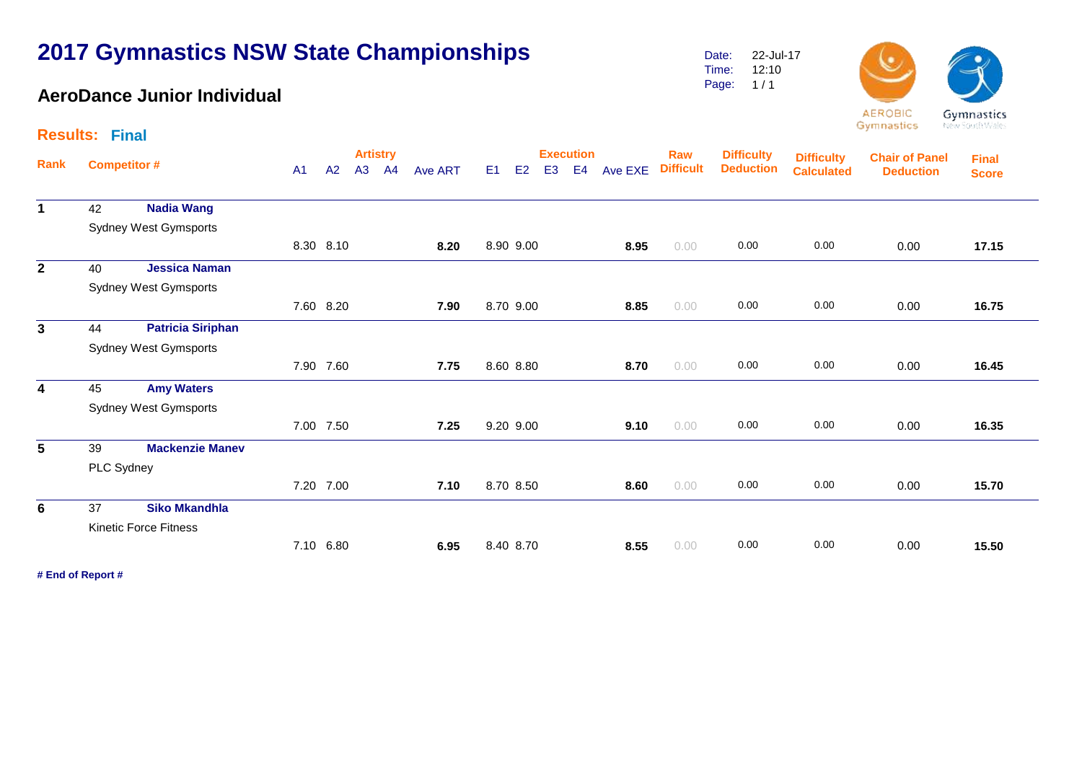### **AeroDance Junior Individual**

Date: Time: Page: 1 / 1 22-Jul-17 12:10



Gymnastics

New South Wales

|                 | <b>Results: Final</b> |                              |    |                       |    |                |      |    |                |                        |         |                         |                                       |                                        |                                           |                              |       |  |
|-----------------|-----------------------|------------------------------|----|-----------------------|----|----------------|------|----|----------------|------------------------|---------|-------------------------|---------------------------------------|----------------------------------------|-------------------------------------------|------------------------------|-------|--|
| Rank            | <b>Competitor#</b>    | A <sub>1</sub>               | A2 | <b>Artistry</b><br>A3 | A4 | <b>Ave ART</b> | E1   | E2 | E <sub>3</sub> | <b>Execution</b><br>E4 | Ave EXE | Raw<br><b>Difficult</b> | <b>Difficulty</b><br><b>Deduction</b> | <b>Difficulty</b><br><b>Calculated</b> | <b>Chair of Panel</b><br><b>Deduction</b> | <b>Final</b><br><b>Score</b> |       |  |
| $\mathbf 1$     | 42                    | <b>Nadia Wang</b>            |    |                       |    |                |      |    |                |                        |         |                         |                                       |                                        |                                           |                              |       |  |
|                 |                       | <b>Sydney West Gymsports</b> |    |                       |    |                |      |    |                |                        |         |                         |                                       |                                        |                                           |                              |       |  |
|                 |                       |                              |    | 8.30 8.10             |    |                | 8.20 |    | 8.90 9.00      |                        |         | 8.95                    | 0.00                                  | 0.00                                   | 0.00                                      | 0.00                         | 17.15 |  |
| $\overline{2}$  | 40                    | <b>Jessica Naman</b>         |    |                       |    |                |      |    |                |                        |         |                         |                                       |                                        |                                           |                              |       |  |
|                 |                       | <b>Sydney West Gymsports</b> |    |                       |    |                |      |    |                |                        |         |                         |                                       |                                        |                                           |                              |       |  |
|                 |                       |                              |    | 7.60 8.20             |    |                | 7.90 |    | 8.70 9.00      |                        |         | 8.85                    | 0.00                                  | 0.00                                   | 0.00                                      | 0.00                         | 16.75 |  |
| $\mathbf{3}$    | 44                    | <b>Patricia Siriphan</b>     |    |                       |    |                |      |    |                |                        |         |                         |                                       |                                        |                                           |                              |       |  |
|                 |                       | <b>Sydney West Gymsports</b> |    |                       |    |                |      |    |                |                        |         |                         |                                       |                                        |                                           |                              |       |  |
|                 |                       |                              |    | 7.90 7.60             |    |                | 7.75 |    | 8.60 8.80      |                        |         | 8.70                    | 0.00                                  | 0.00                                   | 0.00                                      | 0.00                         | 16.45 |  |
| $\overline{4}$  | 45                    | <b>Amy Waters</b>            |    |                       |    |                |      |    |                |                        |         |                         |                                       |                                        |                                           |                              |       |  |
|                 |                       | <b>Sydney West Gymsports</b> |    |                       |    |                |      |    |                |                        |         |                         |                                       |                                        |                                           |                              |       |  |
|                 |                       |                              |    | 7.00 7.50             |    |                | 7.25 |    | 9.20 9.00      |                        |         | 9.10                    | 0.00                                  | 0.00                                   | 0.00                                      | 0.00                         | 16.35 |  |
| $5\phantom{.0}$ | 39                    | <b>Mackenzie Manev</b>       |    |                       |    |                |      |    |                |                        |         |                         |                                       |                                        |                                           |                              |       |  |
|                 | PLC Sydney            |                              |    |                       |    |                |      |    |                |                        |         |                         |                                       |                                        |                                           |                              |       |  |
|                 |                       |                              |    | 7.20 7.00             |    |                | 7.10 |    | 8.70 8.50      |                        |         | 8.60                    | 0.00                                  | 0.00                                   | 0.00                                      | 0.00                         | 15.70 |  |
| $6\phantom{1}$  | 37                    | <b>Siko Mkandhla</b>         |    |                       |    |                |      |    |                |                        |         |                         |                                       |                                        |                                           |                              |       |  |
|                 |                       | <b>Kinetic Force Fitness</b> |    |                       |    |                |      |    |                |                        |         |                         |                                       |                                        |                                           |                              |       |  |
|                 |                       |                              |    | 7.10 6.80             |    |                | 6.95 |    | 8.40 8.70      |                        |         | 8.55                    | 0.00                                  | 0.00                                   | 0.00                                      | 0.00                         | 15.50 |  |
|                 |                       |                              |    |                       |    |                |      |    |                |                        |         |                         |                                       |                                        |                                           |                              |       |  |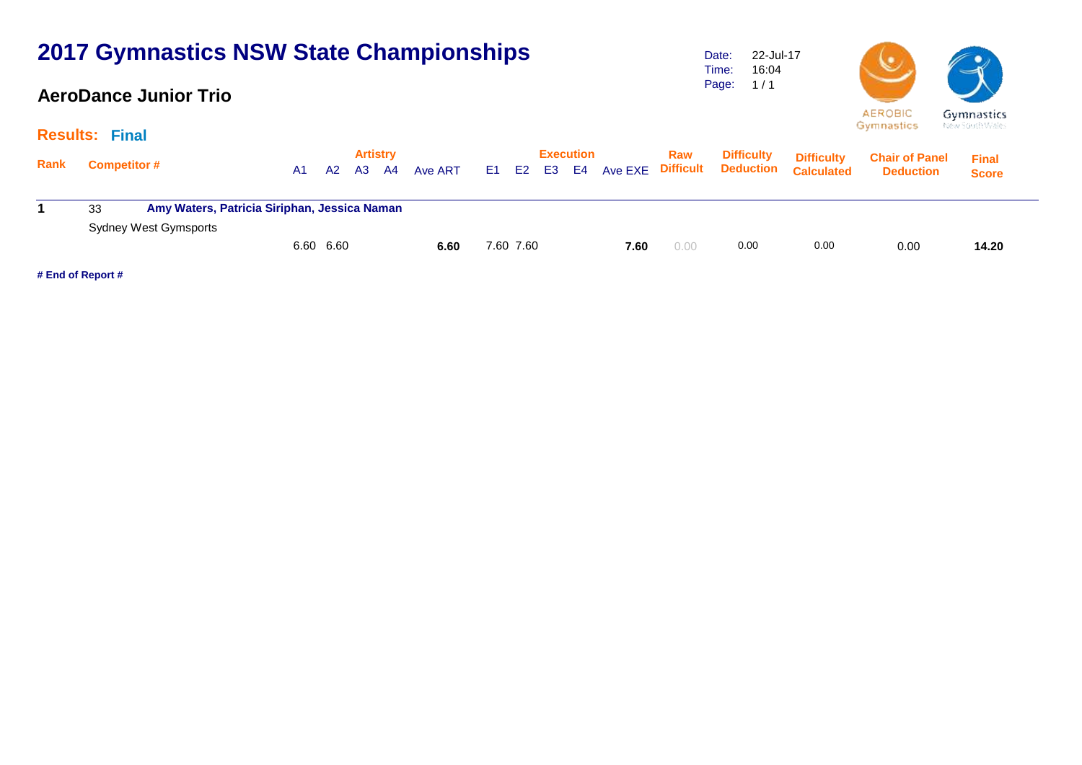#### **AeroDance Junior Trio**

Date: Time: Page: 22-Jul-17 16:04  $1/1$ 



|             | the first parties are able to<br><b>Results: Final</b> |                                              |         |                                |         |                         |                                       |                                        |                                           |                              |  |  |  |  |  |
|-------------|--------------------------------------------------------|----------------------------------------------|---------|--------------------------------|---------|-------------------------|---------------------------------------|----------------------------------------|-------------------------------------------|------------------------------|--|--|--|--|--|
| <b>Rank</b> | <b>Competitor #</b>                                    | <b>Artistry</b><br>A2<br>A3<br>A4<br>A1      | Ave ART | Execution<br>E2<br>E3 E4<br>E1 | Ave EXE | Raw<br><b>Difficult</b> | <b>Difficulty</b><br><b>Deduction</b> | <b>Difficulty</b><br><b>Calculated</b> | <b>Chair of Panel</b><br><b>Deduction</b> | <b>Final</b><br><b>Score</b> |  |  |  |  |  |
|             | 33                                                     | Amy Waters, Patricia Siriphan, Jessica Naman |         |                                |         |                         |                                       |                                        |                                           |                              |  |  |  |  |  |
|             | Sydney West Gymsports                                  | 6.60 6.60                                    | 6.60    | 7.60 7.60                      | 7.60    | 0.00                    | 0.00                                  | 0.00                                   | 0.00                                      | 14.20                        |  |  |  |  |  |